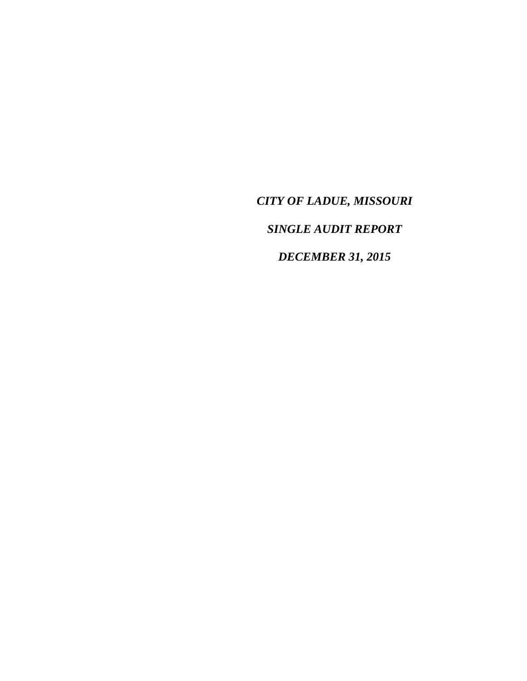*CITY OF LADUE, MISSOURI SINGLE AUDIT REPORT DECEMBER 31, 2015*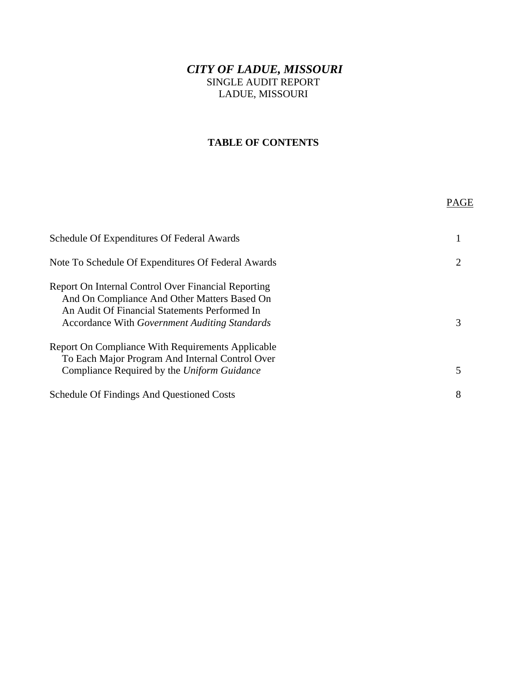# *CITY OF LADUE, MISSOURI*  SINGLE AUDIT REPORT LADUE, MISSOURI

### **TABLE OF CONTENTS**

|                                                                                                                                                                                                       | PAGE |
|-------------------------------------------------------------------------------------------------------------------------------------------------------------------------------------------------------|------|
| Schedule Of Expenditures Of Federal Awards                                                                                                                                                            |      |
| Note To Schedule Of Expenditures Of Federal Awards                                                                                                                                                    |      |
| Report On Internal Control Over Financial Reporting<br>And On Compliance And Other Matters Based On<br>An Audit Of Financial Statements Performed In<br>Accordance With Government Auditing Standards | 3    |
| Report On Compliance With Requirements Applicable<br>To Each Major Program And Internal Control Over<br>Compliance Required by the Uniform Guidance                                                   |      |
| <b>Schedule Of Findings And Questioned Costs</b>                                                                                                                                                      | 8    |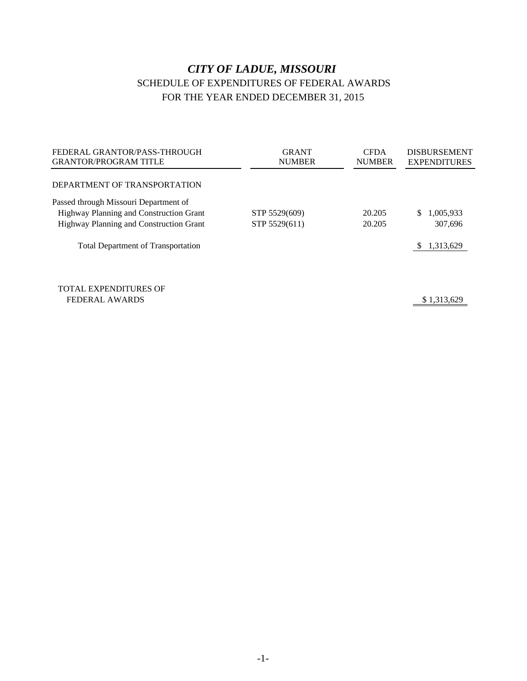# *CITY OF LADUE, MISSOURI* SCHEDULE OF EXPENDITURES OF FEDERAL AWARDS FOR THE YEAR ENDED DECEMBER 31, 2015

| FEDERAL GRANTOR/PASS-THROUGH<br><b>GRANTOR/PROGRAM TITLE</b> | <b>GRANT</b><br><b>NUMBER</b> | <b>CFDA</b><br><b>NUMBER</b> | <b>DISBURSEMENT</b><br><b>EXPENDITURES</b> |
|--------------------------------------------------------------|-------------------------------|------------------------------|--------------------------------------------|
| DEPARTMENT OF TRANSPORTATION                                 |                               |                              |                                            |
| Passed through Missouri Department of                        |                               |                              |                                            |
| Highway Planning and Construction Grant                      | STP 5529(609)                 | 20.205                       | 1,005,933<br>S.                            |
| Highway Planning and Construction Grant                      | STP 5529(611)                 | 20.205                       | 307,696                                    |
| <b>Total Department of Transportation</b>                    |                               |                              | 1,313,629<br>S.                            |
|                                                              |                               |                              |                                            |
| <b>TOTAL EXPENDITURES OF</b>                                 |                               |                              |                                            |
| <b>FEDERAL AWARDS</b>                                        |                               |                              | \$1,313,629                                |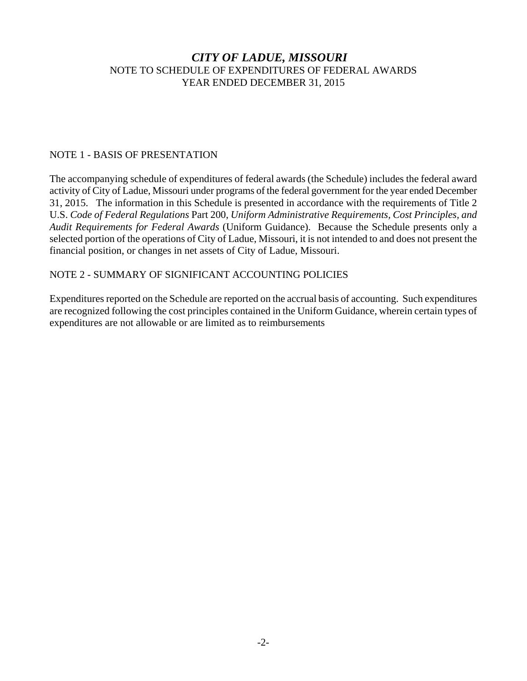### *CITY OF LADUE, MISSOURI* NOTE TO SCHEDULE OF EXPENDITURES OF FEDERAL AWARDS YEAR ENDED DECEMBER 31, 2015

#### NOTE 1 - BASIS OF PRESENTATION

The accompanying schedule of expenditures of federal awards (the Schedule) includes the federal award activity of City of Ladue, Missouri under programs of the federal government for the year ended December 31, 2015. The information in this Schedule is presented in accordance with the requirements of Title 2 U.S. *Code of Federal Regulations* Part 200, *Uniform Administrative Requirements, Cost Principles, and Audit Requirements for Federal Awards* (Uniform Guidance). Because the Schedule presents only a selected portion of the operations of City of Ladue, Missouri, it is not intended to and does not present the financial position, or changes in net assets of City of Ladue, Missouri.

#### NOTE 2 - SUMMARY OF SIGNIFICANT ACCOUNTING POLICIES

Expenditures reported on the Schedule are reported on the accrual basis of accounting. Such expenditures are recognized following the cost principles contained in the Uniform Guidance, wherein certain types of expenditures are not allowable or are limited as to reimbursements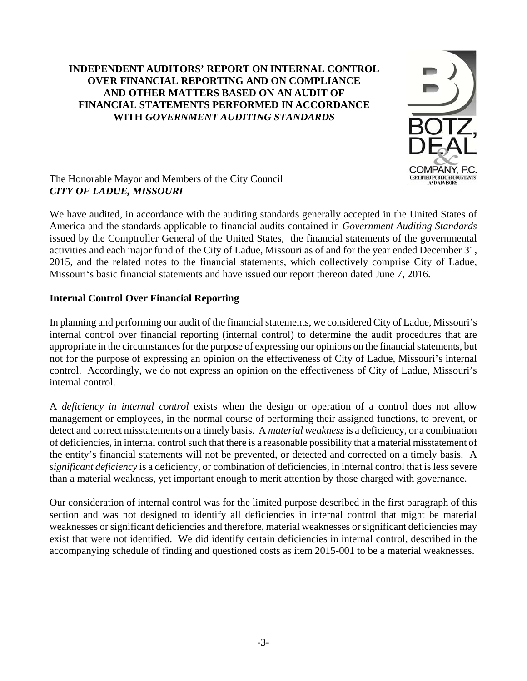## **INDEPENDENT AUDITORS' REPORT ON INTERNAL CONTROL OVER FINANCIAL REPORTING AND ON COMPLIANCE AND OTHER MATTERS BASED ON AN AUDIT OF FINANCIAL STATEMENTS PERFORMED IN ACCORDANCE WITH** *GOVERNMENT AUDITING STANDARDS*



### The Honorable Mayor and Members of the City Council *CITY OF LADUE, MISSOURI*

We have audited, in accordance with the auditing standards generally accepted in the United States of America and the standards applicable to financial audits contained in *Government Auditing Standards* issued by the Comptroller General of the United States, the financial statements of the governmental activities and each major fund of the City of Ladue, Missouri as of and for the year ended December 31, 2015, and the related notes to the financial statements, which collectively comprise City of Ladue, Missouri's basic financial statements and have issued our report thereon dated June 7, 2016.

## **Internal Control Over Financial Reporting**

In planning and performing our audit of the financial statements, we considered City of Ladue, Missouri's internal control over financial reporting (internal control) to determine the audit procedures that are appropriate in the circumstances for the purpose of expressing our opinions on the financial statements, but not for the purpose of expressing an opinion on the effectiveness of City of Ladue, Missouri's internal control. Accordingly, we do not express an opinion on the effectiveness of City of Ladue, Missouri's internal control.

A *deficiency in internal control* exists when the design or operation of a control does not allow management or employees, in the normal course of performing their assigned functions, to prevent, or detect and correct misstatements on a timely basis. A *material weakness* is a deficiency, or a combination of deficiencies, in internal control such that there is a reasonable possibility that a material misstatement of the entity's financial statements will not be prevented, or detected and corrected on a timely basis. A *significant deficiency* is a deficiency, or combination of deficiencies, in internal control that is less severe than a material weakness, yet important enough to merit attention by those charged with governance.

Our consideration of internal control was for the limited purpose described in the first paragraph of this section and was not designed to identify all deficiencies in internal control that might be material weaknesses or significant deficiencies and therefore, material weaknesses or significant deficiencies may exist that were not identified. We did identify certain deficiencies in internal control, described in the accompanying schedule of finding and questioned costs as item 2015-001 to be a material weaknesses.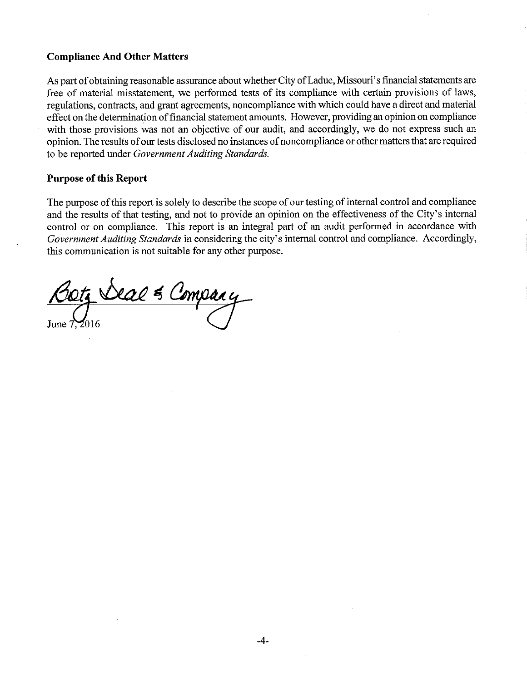#### **Compliance And Other Matters**

As part of obtaining reasonable assurance about whether City of Ladue, Missouri's financial statements are free of material misstatement, we performed tests of its compliance with certain provisions of laws, regulations, contracts, and grant agreements, noncompliance with which could have a direct and material effect on the determination of financial statement amounts. However, providing an opinion on compliance with those provisions was not an objective of our audit, and accordingly, we do not express such an opinion. The results of our tests disclosed no instances of noncompliance or other matters that are required to be reported under Government Auditing Standards.

#### **Purpose of this Report**

The purpose of this report is solely to describe the scope of our testing of internal control and compliance and the results of that testing, and not to provide an opinion on the effectiveness of the City's internal control or on compliance. This report is an integral part of an audit performed in accordance with Government Auditing Standards in considering the city's internal control and compliance. Accordingly, this communication is not suitable for any other purpose.

<u>Boty Deal & Compar</u>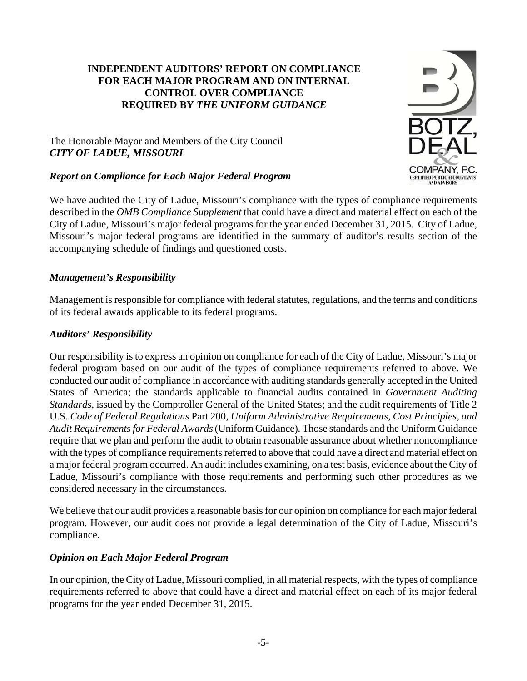### **INDEPENDENT AUDITORS' REPORT ON COMPLIANCE FOR EACH MAJOR PROGRAM AND ON INTERNAL CONTROL OVER COMPLIANCE REQUIRED BY** *THE UNIFORM GUIDANCE*

### The Honorable Mayor and Members of the City Council *CITY OF LADUE, MISSOURI*

## *Report on Compliance for Each Major Federal Program*

We have audited the City of Ladue, Missouri's compliance with the types of compliance requirements described in the *OMB Compliance Supplement* that could have a direct and material effect on each of the City of Ladue, Missouri's major federal programs for the year ended December 31, 2015. City of Ladue, Missouri's major federal programs are identified in the summary of auditor's results section of the accompanying schedule of findings and questioned costs.

## *Management's Responsibility*

Management is responsible for compliance with federal statutes, regulations, and the terms and conditions of its federal awards applicable to its federal programs.

### *Auditors' Responsibility*

Our responsibility is to express an opinion on compliance for each of the City of Ladue, Missouri's major federal program based on our audit of the types of compliance requirements referred to above. We conducted our audit of compliance in accordance with auditing standards generally accepted in the United States of America; the standards applicable to financial audits contained in *Government Auditing Standards*, issued by the Comptroller General of the United States; and the audit requirements of Title 2 U.S. *Code of Federal Regulations* Part 200, *Uniform Administrative Requirements, Cost Principles, and Audit Requirements for Federal Awards* (Uniform Guidance). Those standards and the Uniform Guidance require that we plan and perform the audit to obtain reasonable assurance about whether noncompliance with the types of compliance requirements referred to above that could have a direct and material effect on a major federal program occurred. An audit includes examining, on a test basis, evidence about the City of Ladue, Missouri's compliance with those requirements and performing such other procedures as we considered necessary in the circumstances.

We believe that our audit provides a reasonable basis for our opinion on compliance for each major federal program. However, our audit does not provide a legal determination of the City of Ladue, Missouri's compliance.

## *Opinion on Each Major Federal Program*

In our opinion, the City of Ladue, Missouri complied, in all material respects, with the types of compliance requirements referred to above that could have a direct and material effect on each of its major federal programs for the year ended December 31, 2015.

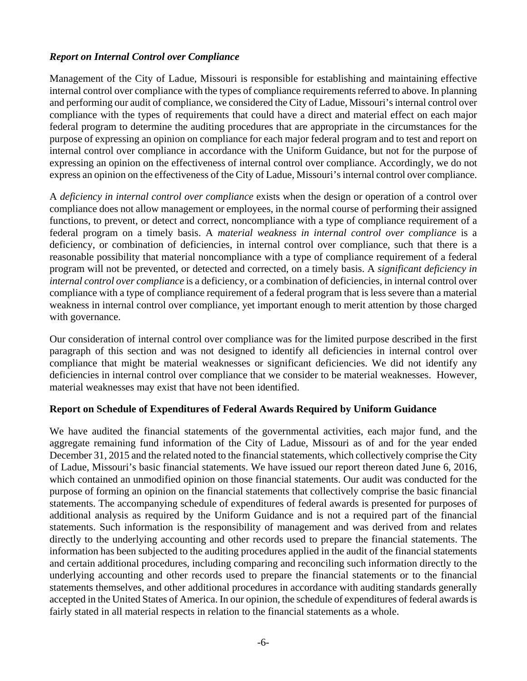### *Report on Internal Control over Compliance*

Management of the City of Ladue, Missouri is responsible for establishing and maintaining effective internal control over compliance with the types of compliance requirements referred to above. In planning and performing our audit of compliance, we considered the City of Ladue, Missouri's internal control over compliance with the types of requirements that could have a direct and material effect on each major federal program to determine the auditing procedures that are appropriate in the circumstances for the purpose of expressing an opinion on compliance for each major federal program and to test and report on internal control over compliance in accordance with the Uniform Guidance, but not for the purpose of expressing an opinion on the effectiveness of internal control over compliance. Accordingly, we do not express an opinion on the effectiveness of the City of Ladue, Missouri's internal control over compliance.

A *deficiency in internal control over compliance* exists when the design or operation of a control over compliance does not allow management or employees, in the normal course of performing their assigned functions, to prevent, or detect and correct, noncompliance with a type of compliance requirement of a federal program on a timely basis. A *material weakness in internal control over compliance* is a deficiency, or combination of deficiencies, in internal control over compliance, such that there is a reasonable possibility that material noncompliance with a type of compliance requirement of a federal program will not be prevented, or detected and corrected, on a timely basis. A *significant deficiency in internal control over compliance* is a deficiency, or a combination of deficiencies, in internal control over compliance with a type of compliance requirement of a federal program that is less severe than a material weakness in internal control over compliance, yet important enough to merit attention by those charged with governance.

Our consideration of internal control over compliance was for the limited purpose described in the first paragraph of this section and was not designed to identify all deficiencies in internal control over compliance that might be material weaknesses or significant deficiencies. We did not identify any deficiencies in internal control over compliance that we consider to be material weaknesses. However, material weaknesses may exist that have not been identified.

#### **Report on Schedule of Expenditures of Federal Awards Required by Uniform Guidance**

We have audited the financial statements of the governmental activities, each major fund, and the aggregate remaining fund information of the City of Ladue, Missouri as of and for the year ended December 31, 2015 and the related noted to the financial statements, which collectively comprise the City of Ladue, Missouri's basic financial statements. We have issued our report thereon dated June 6, 2016, which contained an unmodified opinion on those financial statements. Our audit was conducted for the purpose of forming an opinion on the financial statements that collectively comprise the basic financial statements. The accompanying schedule of expenditures of federal awards is presented for purposes of additional analysis as required by the Uniform Guidance and is not a required part of the financial statements. Such information is the responsibility of management and was derived from and relates directly to the underlying accounting and other records used to prepare the financial statements. The information has been subjected to the auditing procedures applied in the audit of the financial statements and certain additional procedures, including comparing and reconciling such information directly to the underlying accounting and other records used to prepare the financial statements or to the financial statements themselves, and other additional procedures in accordance with auditing standards generally accepted in the United States of America. In our opinion, the schedule of expenditures of federal awards is fairly stated in all material respects in relation to the financial statements as a whole.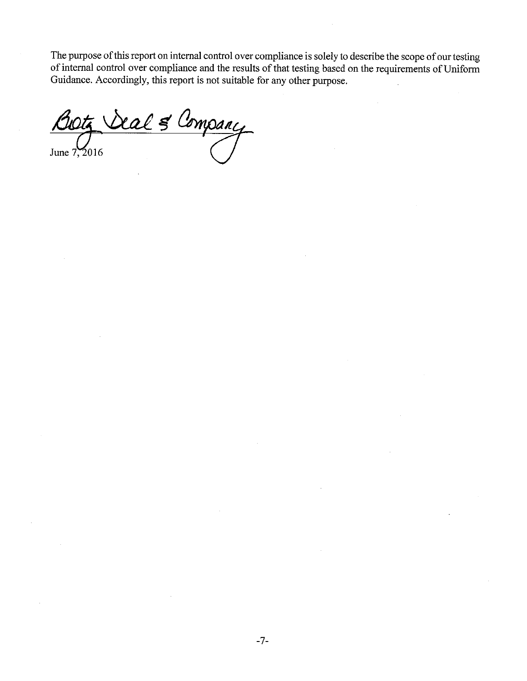The purpose of this report on internal control over compliance is solely to describe the scope of our testing of internal control over compliance and the results of that testing based on the requirements of Uniform Guidance. Accordingly, this report is not suitable for any other purpose.

Company <u>ral 5 </u> June  $7,2016$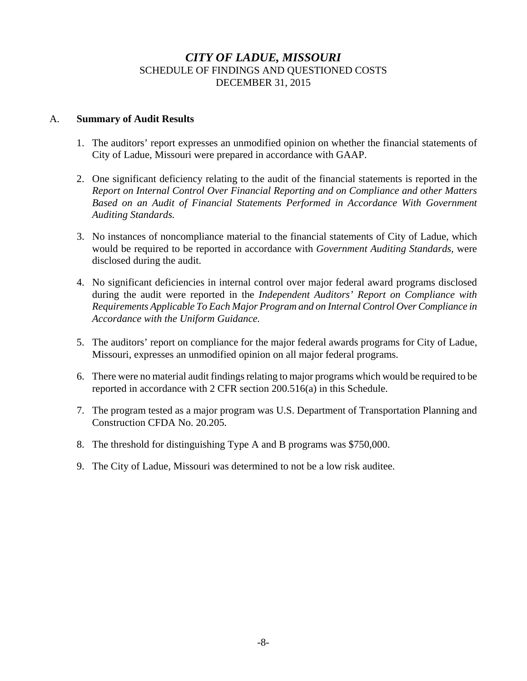### *CITY OF LADUE, MISSOURI* SCHEDULE OF FINDINGS AND QUESTIONED COSTS DECEMBER 31, 2015

#### A. **Summary of Audit Results**

- 1. The auditors' report expresses an unmodified opinion on whether the financial statements of City of Ladue, Missouri were prepared in accordance with GAAP.
- 2. One significant deficiency relating to the audit of the financial statements is reported in the *Report on Internal Control Over Financial Reporting and on Compliance and other Matters Based on an Audit of Financial Statements Performed in Accordance With Government Auditing Standards.*
- 3. No instances of noncompliance material to the financial statements of City of Ladue, which would be required to be reported in accordance with *Government Auditing Standards,* were disclosed during the audit.
- 4. No significant deficiencies in internal control over major federal award programs disclosed during the audit were reported in the *Independent Auditors' Report on Compliance with Requirements Applicable To Each Major Program and on Internal Control Over Compliance in Accordance with the Uniform Guidance.*
- 5. The auditors' report on compliance for the major federal awards programs for City of Ladue, Missouri, expresses an unmodified opinion on all major federal programs.
- 6. There were no material audit findings relating to major programs which would be required to be reported in accordance with 2 CFR section 200.516(a) in this Schedule.
- 7. The program tested as a major program was U.S. Department of Transportation Planning and Construction CFDA No. 20.205*.*
- 8. The threshold for distinguishing Type A and B programs was \$750,000.
- 9. The City of Ladue, Missouri was determined to not be a low risk auditee.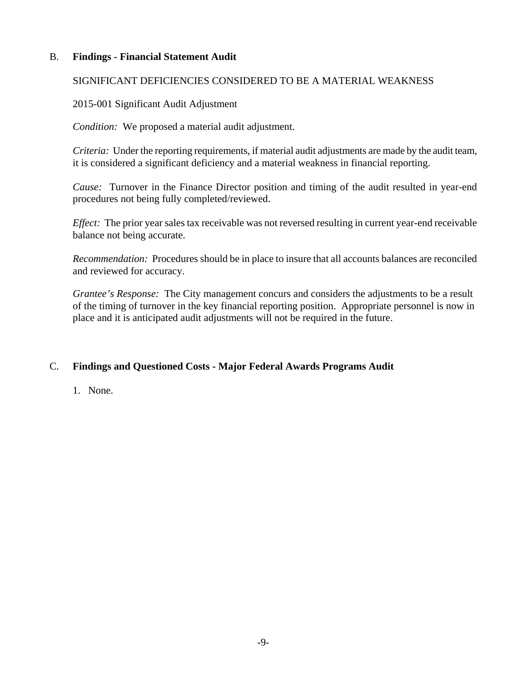### B. **Findings - Financial Statement Audit**

### SIGNIFICANT DEFICIENCIES CONSIDERED TO BE A MATERIAL WEAKNESS

#### 2015-001 Significant Audit Adjustment

*Condition:* We proposed a material audit adjustment.

*Criteria:* Under the reporting requirements, if material audit adjustments are made by the audit team, it is considered a significant deficiency and a material weakness in financial reporting.

*Cause:* Turnover in the Finance Director position and timing of the audit resulted in year-end procedures not being fully completed/reviewed.

*Effect:* The prior year sales tax receivable was not reversed resulting in current year-end receivable balance not being accurate.

*Recommendation:* Procedures should be in place to insure that all accounts balances are reconciled and reviewed for accuracy.

*Grantee's Response:* The City management concurs and considers the adjustments to be a result of the timing of turnover in the key financial reporting position. Appropriate personnel is now in place and it is anticipated audit adjustments will not be required in the future.

### C. **Findings and Questioned Costs - Major Federal Awards Programs Audit**

1. None.